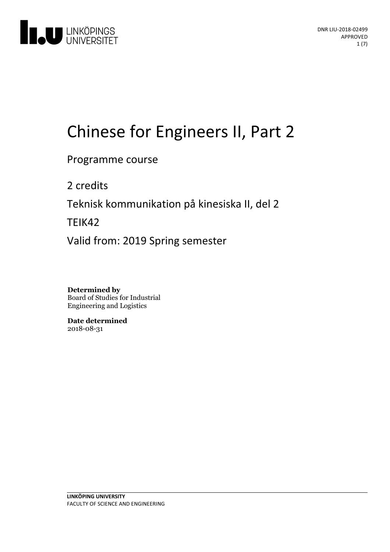

# Chinese for Engineers II, Part 2

Programme course

2 credits

Teknisk kommunikation på kinesiska II, del 2

TEIK42

Valid from: 2019 Spring semester

**Determined by** Board of Studies for Industrial Engineering and Logistics

**Date determined** 2018-08-31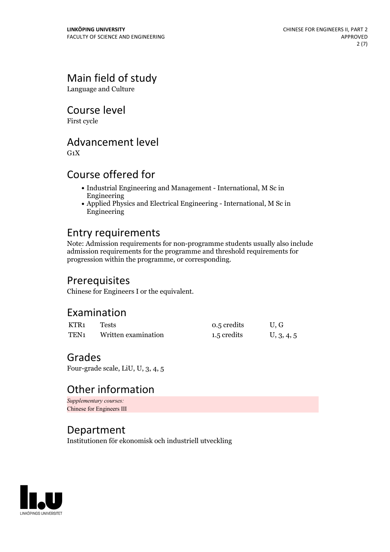# Main field of study

Language and Culture

Course level

First cycle

# Advancement level

 $G_1X$ 

# Course offered for

- Industrial Engineering and Management International, M Sc in Engineering
- Applied Physics and Electrical Engineering International, M Sc in Engineering

# Entry requirements

Note: Admission requirements for non-programme students usually also include admission requirements for the programme and threshold requirements for progression within the programme, or corresponding.

# Prerequisites

Chinese for Engineers I or the equivalent.

# Examination

| KTR1             | Tests               | 0.5 credits | U.G        |
|------------------|---------------------|-------------|------------|
| TEN <sub>1</sub> | Written examination | 1.5 credits | U, 3, 4, 5 |

### Grades

Four-grade scale, LiU, U, 3, 4, 5

# Other information

*Supplementary courses:* Chinese for Engineers III

# Department

Institutionen för ekonomisk och industriell utveckling

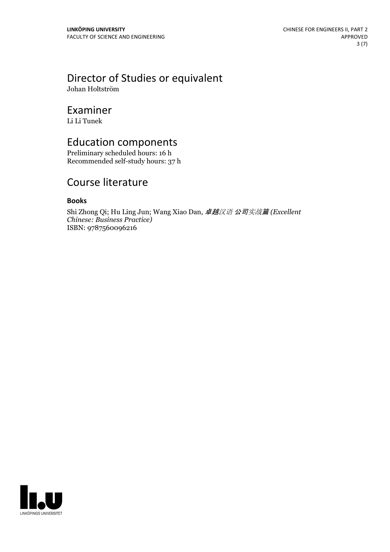# Director of Studies or equivalent

Johan Holtström

### Examiner

Li Li Tunek

### Education components

Preliminary scheduled hours: 16 h Recommended self-study hours: 37 h

# Course literature

### **Books**

Shi Zhong Qi; Hu Ling Jun; Wang Xiao Dan, 卓越汉语 公司实战篇 *(Excellent Chinese: Business Practice)* ISBN: 9787560096216

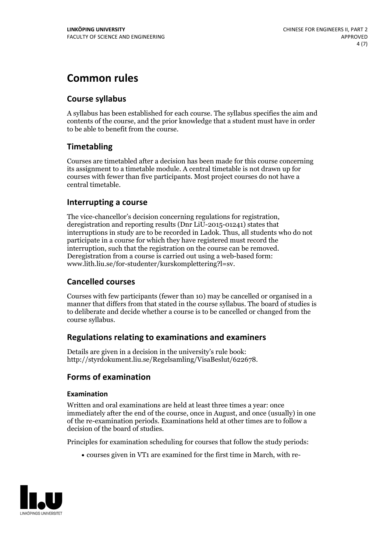# **Common rules**

### **Course syllabus**

A syllabus has been established for each course. The syllabus specifies the aim and contents of the course, and the prior knowledge that a student must have in order to be able to benefit from the course.

### **Timetabling**

Courses are timetabled after a decision has been made for this course concerning its assignment to a timetable module. A central timetable is not drawn up for courses with fewer than five participants. Most project courses do not have a central timetable.

### **Interrupting a course**

The vice-chancellor's decision concerning regulations for registration, deregistration and reporting results (Dnr LiU-2015-01241) states that interruptions in study are to be recorded in Ladok. Thus, all students who do not participate in a course for which they have registered must record the interruption, such that the registration on the course can be removed. Deregistration from <sup>a</sup> course is carried outusing <sup>a</sup> web-based form: www.lith.liu.se/for-studenter/kurskomplettering?l=sv.

### **Cancelled courses**

Courses with few participants (fewer than 10) may be cancelled or organised in a manner that differs from that stated in the course syllabus. The board of studies is to deliberate and decide whether a course is to be cancelled orchanged from the course syllabus.

### **Regulations relatingto examinations and examiners**

Details are given in a decision in the university's rule book: http://styrdokument.liu.se/Regelsamling/VisaBeslut/622678.

### **Forms of examination**

### **Examination**

Written and oral examinations are held at least three times a year: once immediately after the end of the course, once in August, and once (usually) in one of the re-examination periods. Examinations held at other times are to follow a decision of the board of studies.

Principles for examination scheduling for courses that follow the study periods:

courses given in VT1 are examined for the first time in March, with re-

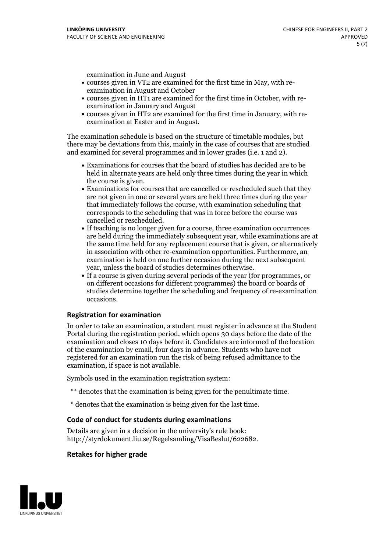examination in June and August

- courses given in VT2 are examined for the first time in May, with re-examination in August and October
- courses given in HT1 are examined for the first time in October, with re-examination in January and August
- courses given in HT2 are examined for the first time in January, with re-examination at Easter and in August.

The examination schedule is based on the structure of timetable modules, but there may be deviations from this, mainly in the case of courses that are studied and examined for several programmes and in lower grades (i.e. 1 and 2).

- Examinations for courses that the board of studies has decided are to be held in alternate years are held only three times during the year in which the course is given.<br>• Examinations for courses that are cancelled or rescheduled such that they
- are not given in one or several years are held three times during the year that immediately follows the course, with examination scheduling that corresponds to the scheduling that was in force before the course was cancelled or rescheduled.<br>• If teaching is no longer given for a course, three examination occurrences
- are held during the immediately subsequent year, while examinations are at the same time held for any replacement course that is given, or alternatively in association with other re-examination opportunities. Furthermore, an examination is held on one further occasion during the next subsequent year, unless the board of studies determines otherwise.<br>• If a course is given during several periods of the year (for programmes, or
- on different occasions for different programmes) the board orboards of studies determine together the scheduling and frequency of re-examination occasions.

### **Registration for examination**

In order to take an examination, a student must register in advance at the Student Portal during the registration period, which opens 30 days before the date of the examination and closes 10 days before it. Candidates are informed of the location of the examination by email, four days in advance. Students who have not registered for an examination run the risk of being refused admittance to the examination, if space is not available.

Symbols used in the examination registration system:

- \*\* denotes that the examination is being given for the penultimate time.
- \* denotes that the examination is being given for the last time.

#### **Code of conduct for students during examinations**

Details are given in a decision in the university's rule book: http://styrdokument.liu.se/Regelsamling/VisaBeslut/622682.

#### **Retakes for higher grade**

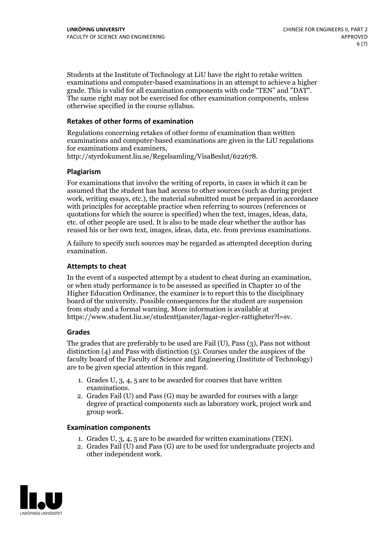Students at the Institute of Technology at LiU have the right to retake written examinations and computer-based examinations in an attempt to achieve a higher grade. This is valid for all examination components with code "TEN" and "DAT". The same right may not be exercised for other examination components, unless otherwise specified in the course syllabus.

#### **Retakes of other forms of examination**

Regulations concerning retakes of other forms of examination than written examinations and computer-based examinations are given in the LiU regulations for examinations and examiners, http://styrdokument.liu.se/Regelsamling/VisaBeslut/622678.

#### **Plagiarism**

For examinations that involve the writing of reports, in cases in which it can be assumed that the student has had access to other sources (such as during project work, writing essays, etc.), the material submitted must be prepared in accordance with principles for acceptable practice when referring to sources (references or quotations for which the source is specified) when the text, images, ideas, data, etc. of other people are used. It is also to be made clear whether the author has reused his or her own text, images, ideas, data, etc. from previous examinations.

A failure to specify such sources may be regarded as attempted deception during examination.

#### **Attempts to cheat**

In the event of <sup>a</sup> suspected attempt by <sup>a</sup> student to cheat during an examination, or when study performance is to be assessed as specified in Chapter <sup>10</sup> of the Higher Education Ordinance, the examiner is to report this to the disciplinary board of the university. Possible consequences for the student are suspension from study and a formal warning. More information is available at https://www.student.liu.se/studenttjanster/lagar-regler-rattigheter?l=sv.

#### **Grades**

The grades that are preferably to be used are Fail (U), Pass (3), Pass not without distinction  $(4)$  and Pass with distinction  $(5)$ . Courses under the auspices of the faculty board of the Faculty of Science and Engineering (Institute of Technology) are to be given special attention in this regard.

- 1. Grades U, 3, 4, 5 are to be awarded for courses that have written
- examinations. 2. Grades Fail (U) and Pass (G) may be awarded for courses with <sup>a</sup> large degree of practical components such as laboratory work, project work and group work.

#### **Examination components**

- 
- 1. Grades U, 3, 4, <sup>5</sup> are to be awarded for written examinations (TEN). 2. Grades Fail (U) and Pass (G) are to be used for undergraduate projects and other independent work.